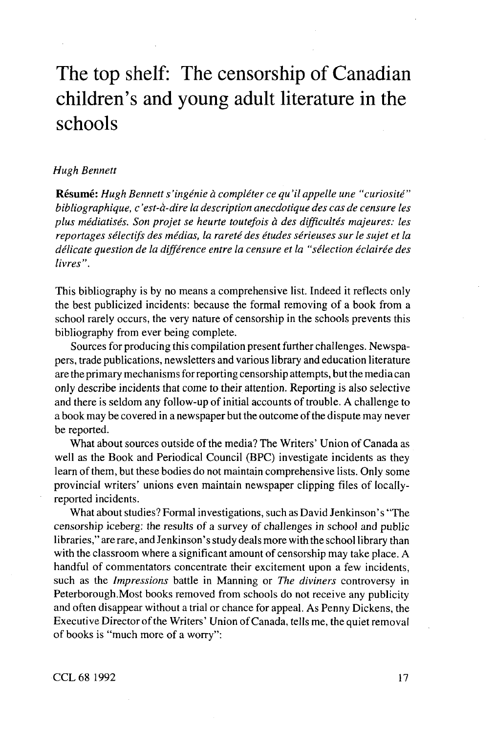## The top shelf: The censorship of Canadian children's and young adult literature in the schools

## *Hugh Bennett*

**Resume:** *Hugh Bennett s 'ingenie a completer ce qu 'il appelle une "curiosite" bibliographique, c 'est-d-dire la description anecdotique des cas de censure les plus mediatises. Son projet se heurte toutefois a des difficultes majeures: les reportages selectifs des medias, la rarete des etudes serieuses sur Ie sujet et la delicate question de la difference entre la censure et la "selection eclairee des livres".*

This bibliography is by no means a comprehensive list. Indeed it reflects only the best publicized incidents: because the formal removing of a book from a school rarely occurs, the very nature of censorship in the schools prevents this bibliography from ever being complete.

Sources for producing this compilation present further challenges. Newspapers, trade publications, newsletters and various library and education literature are the primary mechanisms for reporting censorship attempts, but the media can only describe incidents that come to their attention. Reporting is also selective and there is seldom any follow-up of initial accounts of trouble. A challenge to a book may be covered in a newspaper but the outcome of the dispute may never be reported.

What about sources outside of the media? The Writers' Union of Canada as well as the Book and Periodical Council (BPC) investigate incidents as they learn of them, but these bodies do not maintain comprehensive lists. Only some provincial writers' unions even maintain newspaper clipping files of locallyreported incidents.

What about studies? Formal investigations, such as David Jenkinson's "The censorship iceberg: the results of a survey of challenges in school and public libraries," are rare, and Jenkinson's study deals more with the school library than with the classroom where a significant amount of censorship may take place. A handful of commentators concentrate their excitement upon a few incidents, such as the *Impressions* battle in Manning or *The diviners* controversy in Peterborough.Most books removed from schools do not receive any publicity and often disappear without a trial or chance for appeal. As Penny Dickens, the Executive Director of the Writers' Union of Canada, tells me, the quiet removal of books is "much more of a worry":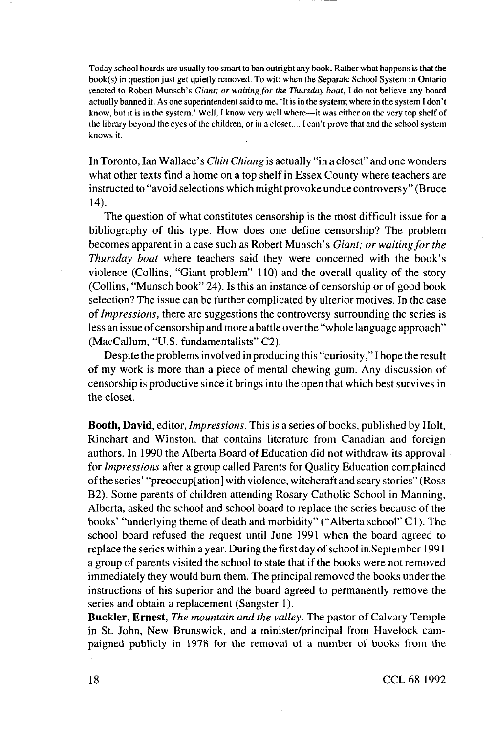Today school boards are usually too smart to ban outright any book. Rather what happens is that the book(s) in question just get quietly removed. To wit: when the Separate School System in Ontario reacted to Robert Munsch's *Giant, or waiting/or the Thursday boat,* I do not believe any board actually banned it. As one superintendent said to me, 'It is in the system; where in the system I don't know, but it is in the system ' Well, I know very well where—it was either on the very top shelf of the library beyond the eyes of the children, or in a closet.... I can't prove that and the school system knows it

In Toronto, lan Wallace's *Chin Chiang* is actually "in a closet" and one wonders what other texts find a home on a top shelf in Essex County where teachers are instructed to "avoid selections which might provoke undue controversy" (Bruce 14).

The question of what constitutes censorship is the most difficult issue for a bibliography of this type. How does one define censorship? The problem becomes apparent in a case such as Robert Munsch's *Giant; or waiting for the Thursday boat* where teachers said they were concerned with the book's violence (Collins, "Giant problem" 110) and the overall quality of the story (Collins, "Munsch book" 24). Is this an instance of censorship or of good book selection? The issue can be further complicated by ulterior motives. In the case *of Impressions,* there are suggestions the controversy surrounding the series is less an issue of censorship and more a battle over the "whole language approach" (MacCallum, "U.S. fundamentalists" C2).

Despite the problems involved in producing this "curiosity," I hope the result of my work is more than a piece of mental chewing gum. Any discussion of censorship is productive since it brings into the open that which best survives in the closet.

**Booth, David,** editor, *Impressions.* This is a series of books, published by Holt, Rinehart and Winston, that contains literature from Canadian and foreign authors. In 1990 the Alberta Board of Education did not withdraw its approval for *Impressions* after a group called Parents for Quality Education complained of the series' "preoccup[ation] with violence, witchcraft and scary stories" (Ross B2). Some parents of children attending Rosary Catholic School in Manning, Alberta, asked the school and school board to replace the series because of the books' "underlying theme of death and morbidity" ("Alberta school" C 1). The school board refused the request until June 1991 when the board agreed to replace the series within a year. During the first day of school in September 1991 a group of parents visited the school to state that if the books were not removed immediately they would burn them. The principal removed the books under the instructions of his superior and the board agreed to permanently remove the series and obtain a replacement (Sangster 1).

**Buckler,** Ernest, *The mountain and the valley.* The pastor of Calvary Temple in St. John, New Brunswick, and a minister/principal from Havelock campaigned publicly in 1978 for the removal of a number of books from the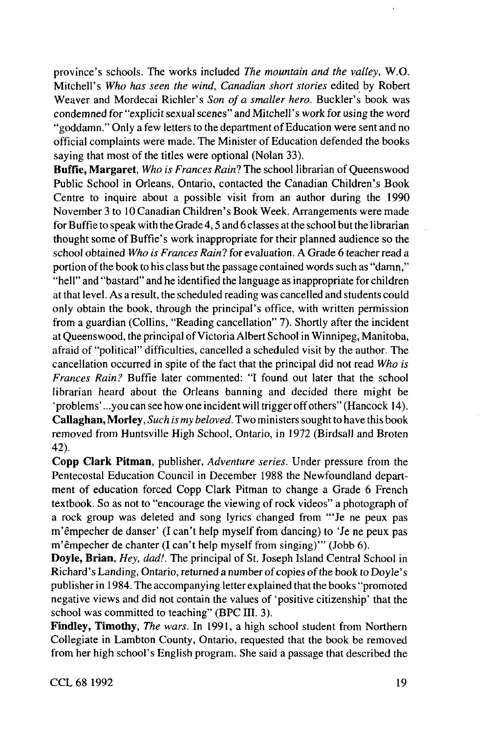province's schools. The works included *The mountain and the valley,* W.O. Mitchell's *Who has seen the wind, Canadian short stories* edited by Robert Weaver and Mordecai Richler's *Son of a smaller hero.* Buckler's book was condemned for "explicit sexual scenes" and Mitchell's work for using the word "goddamn." Only a few letters to the department of Education were sent and no official complaints were made. The Minister of Education defended the books saying that most of the titles were optional (Nolan 33).

**Buffie, Margaret**, *Who is Frances Rain*? The school librarian of Oueenswood Public School in Orleans, Ontario, contacted the Canadian Children's Book Centre to inquire about a possible visit from an author during the 1990 November 3 to 10 Canadian Children's Book Week. Arrangements were made for Buffie to speak with the Grade 4,5 and 6 classes at the school but the librarian thought some of Buffie's work inappropriate for their planned audience so the school obtained *Who is Frances Rain?* for evaluation. A Grade 6 teacher read a portion of the book to his class but the passage contained words such as "damn," "hell" and "bastard" and he identified the language as inappropriate for children at that level. As a result, the scheduled reading was cancelled and students could only obtain the book, through the principal's office, with written permission from a guardian (Collins, "Reading cancellation" 7). Shortly after the incident at Queenswood, the principal of Victoria Albert School in Winnipeg, Manitoba, afraid of "political" difficulties, cancelled a scheduled visit by the author. The cancellation occurred in spite of the fact that the principal did not read *Who is Frances Rain?* Buffie later commented: "I found out later that the school librarian heard about the Orleans banning and decided there might be 'problems' ...you can see how one incident will trigger off others" (Hancock 14). **Callaghan, Morley,** *Such is my beloved.* Two ministers sought to have this book removed from Huntsville High School, Ontario, in 1972 (Birdsall and Broten 42).

**Copp dark Pitman,** publisher. *Adventure series.* Under pressure from the Pentecostal Education Council in December 1988 the Newfoundland department of education forced Copp Clark Pitman to change a Grade 6 French textbook. So as not to "encourage the viewing of rock videos" a photograph of a rock group was deleted and song lyrics changed from '"Je ne peux pas m'empecher de danser' (I can't help myself from dancing) to 'Je ne peux pas m'êmpecher de chanter (I can't help myself from singing)''' (Jobb 6).

**Doyle, Brian,** *Hey, dad!.* The principal of St. Joseph Island Central School in Richard's Landing, Ontario, returned a number of copies of the book to Doyle's publisher in 1984. The accompanying letter explained that the books "promoted negative views and did not contain the values of 'positive citizenship' that the school was committed to teaching" (BPC III. 3).

**Findley, Timothy,** *The wars.* In 1991, a high school student from Northern Collegiate in Lambton County, Ontario, requested that the book be removed from her high school's English program. She said a passage that described the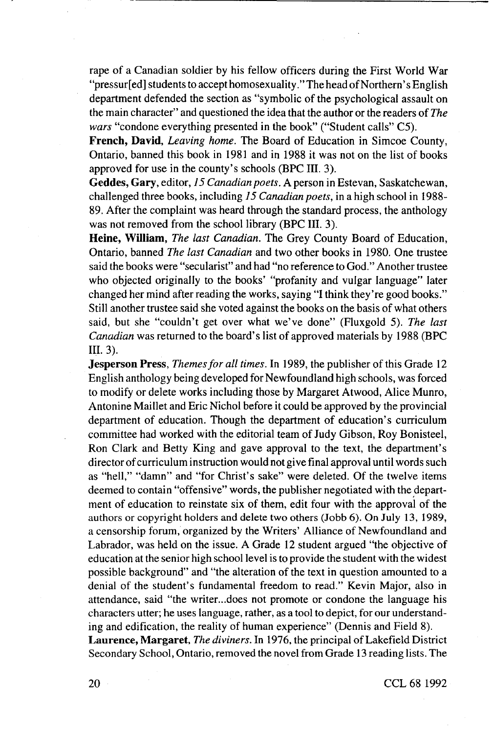rape of a Canadian soldier by his fellow officers during the First World War "pressur[ed] students to accept homosexuality." The head of Northern's English department defended the section as "symbolic of the psychological assault on the main character" and questioned the idea that the author or the readers of *The wars* "condone everything presented in the book" ("Student calls" C5).

**French, David,** *Leaving home.* The Board of Education in Simcoe County, Ontario, banned this book in 1981 and in 1988 it was not on the list of books approved for use in the county's schools (BPC III. 3).

**Geddes, Gary,** editor, 75 *Canadian poets.* A person in Estevan, Saskatchewan, challenged three books, including *15 Canadian poets,* in a high school in 1988- 89. After the complaint was heard through the standard process, the anthology was not removed from the school library (BPC III. 3).

**Heine, William,** *The last Canadian.* The Grey County Board of Education, Ontario, banned *The last Canadian* and two other books in 1980. One trustee said the books were "secularist" and had "no reference to God." Another trustee who objected originally to the books' "profanity and vulgar language" later changed her mind after reading the works, saying "I think they're good books." Still another trustee said she voted against the books on the basis of what others said, but she "couldn't get over what we've done" (Fluxgold 5). *The last Canadian* was returned to the board's list of approved materials by 1988 (BPC III. 3).

**Jesperson Press,** *Themes for all times.* In 1989, the publisher of this Grade 12 English anthology being developed for Newfoundland high schools, was forced to modify or delete works including those by Margaret Atwood, Alice Munro, Antonine Maillet and Eric Nichol before it could be approved by the provincial department of education. Though the department of education's curriculum committee had worked with the editorial team of Judy Gibson, Roy Bonisteel, Ron Clark and Betty King and gave approval to the text, the department's director of curriculum instruction would not give final approval until words such as "hell," "damn" and "for Christ's sake" were deleted. Of the twelve items deemed to contain "offensive" words, the publisher negotiated with the department of education to reinstate six of them, edit four with the approval of the authors or copyright holders and delete two others (Jobb 6). On July 13, 1989, a censorship forum, organized by the Writers' Alliance of Newfoundland and Labrador, was held on the issue. A Grade 12 student argued "the objective of education at the senior high school level is to provide the student with the widest possible background" and "the alteration of the text in question amounted to a denial of the student's fundamental freedom to read." Kevin Major, also in attendance, said "the writer...does not promote or condone the language his characters utter; he uses language, rather, as a tool to depict, for our understanding and edification, the reality of human experience" (Dennis and Field 8). Laurence, Margaret, *The diviners*. In 1976, the principal of Lakefield District Secondary School, Ontario, removed the novel from Grade 13 reading lists. The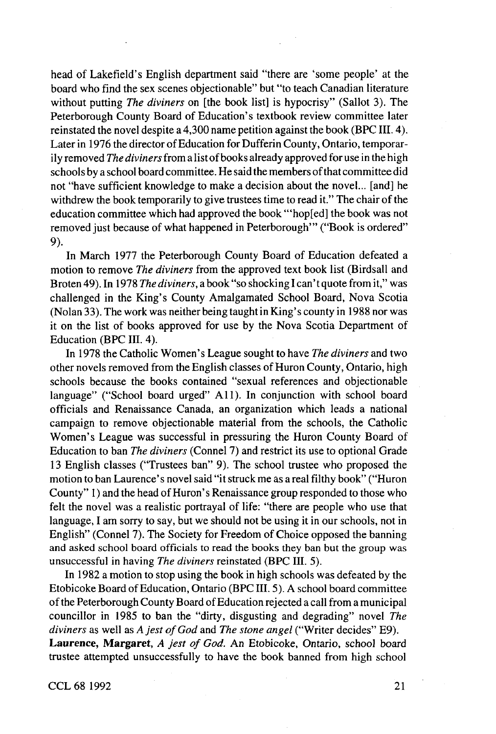head of Lakefield's English department said "there are 'some people' at the board who find the sex scenes objectionable" but "to teach Canadian literature without putting *The diviners* on [the book list] is hypocrisy" (Sallot 3). The Peterborough County Board of Education's textbook review committee later reinstated the novel despite a 4,300 name petition against the book (BPC III. 4). Later in 1976 the director of Education for Dufferin County, Ontario, temporarily removed *The diviners* from a list of books already approved for use in the high schools by a school board committee. He said the members of that committee did not "have sufficient knowledge to make a decision about the novel... [and] he withdrew the book temporarily to give trustees time to read it." The chair of the education committee which had approved the book '"hop[ed] the book was not removed just because of what happened in Peterborough'" ("Book is ordered" 9).

In March 1977 the Peterborough County Board of Education defeated a motion to remove *The diviners* from the approved text book list (Birdsall and Broten 49). In 1978 *The diviners,* a book "so shocking I can't quote from it," was challenged in the King's County Amalgamated School Board, Nova Scotia (Nolan 33). The work was neither being taught in King's county in 1988 nor was it on the list of books approved for use by the Nova Scotia Department of Education (BPC III. 4).

In 1978 the Catholic Women's League sought to have *The diviners* and two other novels removed from the English classes of Huron County, Ontario, high schools because the books contained "sexual references and objectionable language" ("School board urged" All). In conjunction with school board officials and Renaissance Canada, an organization which leads a national campaign to remove objectionable material from the schools, the Catholic Women's League was successful in pressuring the Huron County Board of Education to ban *The diviners* (Connel 7) and restrict its use to optional Grade 13 English classes ("Trustees ban" 9). The school trustee who proposed the motion to ban Laurence's novel said "it struck me as a real filthy book" ("Huron County" 1) and the head of Huron's Renaissance group responded to those who felt the novel was a realistic portrayal of life: "there are people who use that language, I am sorry to say, but we should not be using it in our schools, not in English" (Connel 7). The Society for Freedom of Choice opposed the banning and asked school board officials to read the books they ban but the group was unsuccessful in having *The diviners* reinstated (BPC III. 5).

In 1982 a motion to stop using the book in high schools was defeated by the Etobicoke Board of Education, Ontario (BPC III. 5). A school board committee of the Peterborough County Board of Education rejected a call from a municipal councillor in 1985 to ban the "dirty, disgusting and degrading" novel *The diviners* as well as *A jest of God* and *The stone angel* ("Writer decides" E9). **Laurence, Margaret,** A *jest of God.* An Etobicoke, Ontario, school board trustee attempted unsuccessfully to have the book banned from high school

CCL 68 1992 21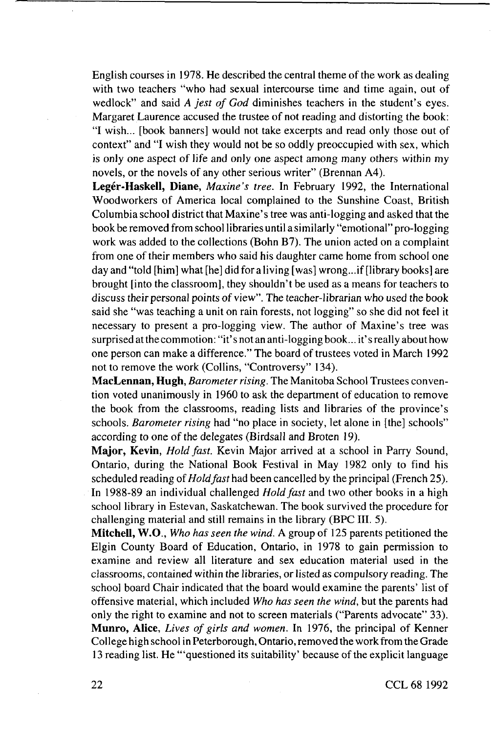English courses in 1978. He described the central theme of the work as dealing with two teachers "who had sexual intercourse time and time again, out of wedlock" and said A *jest of God* diminishes teachers in the student's eyes. Margaret Laurence accused the trustee of not reading and distorting the book: "I wish... [book banners] would not take excerpts and read only those out of context" and "I wish they would not be so oddly preoccupied with sex, which is only one aspect of life and only one aspect among many others within my novels, or the novels of any other serious writer" (Brennan A4).

**Leger-Haskell, Diane,** *Maxim's tree.* In February 1992, the International Woodworkers of America local complained to the Sunshine Coast, British Columbia school district that Maxine's tree was anti-logging and asked that the book be removed from school libraries until a similarly "emotional" pro-logging work was added to the collections (Bohn B7). The union acted on a complaint from one of their members who said his daughter came home from school one day and "told [him] what [he] did for a living [was] wrong...if [library books] are brought [into the classroom], they shouldn't be used as a means for teachers to discuss their personal points of view". The teacher-librarian who used the book said she "was teaching a unit on rain forests, not logging" so she did not feel it necessary to present a pro-logging view. The author of Maxine's tree was surprised at the commotion: "it's not an anti-logging book... it's really about how one person can make a difference." The board of trustees voted in March 1992 not to remove the work (Collins, "Controversy" 134).

**MacLennan, Hugh,** *Barometer rising.* The Manitoba School Trustees convention voted unanimously in 1960 to ask the department of education to remove the book from the classrooms, reading lists and libraries of the province's schools. *Barometer rising* had "no place in society, let alone in [the] schools" according to one of the delegates (Birdsall and Broten 19).

**Major, Kevin,** *Hold fast.* Kevin Major arrived at a school in Parry Sound, Ontario, during the National Book Festival in May 1982 only to find his scheduled reading of*Hold fast* had been cancelled by the principal (French 25). In 1988-89 an individual challenged *Hold fast* and two other books in a high school library in Estevan, Saskatchewan. The book survived the procedure for challenging material and still remains in the library (BPC III. 5).

**Mitchell, W.O.,** *Who has seen the wind.* A group of 125 parents petitioned the Elgin County Board of Education, Ontario, in 1978 to gain permission to examine and review all literature and sex education material used in the classrooms, contained within the libraries, or listed as compulsory reading. The school board Chair indicated that the board would examine the parents' list of offensive material, which included *Who has seen the wind,* but the parents had only the right to examine and not to screen materials ("Parents advocate" 33). **Munro, Alice,** *Lives of girls and women.* In 1976, the principal of Kenner College high school in Peterborough, Ontario, removed the work from the Grade 13 reading list. He '"questioned its suitability' because of the explicit language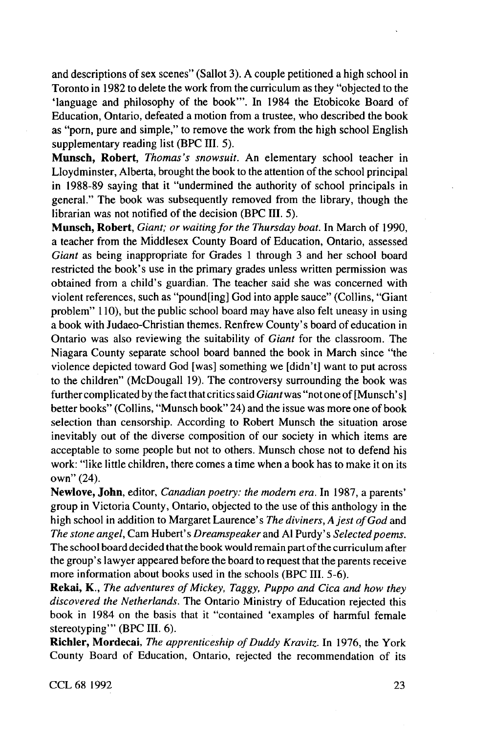and descriptions of sex scenes" (Sallot 3). A couple petitioned a high school in Toronto in 1982 to delete the work from the curriculum as they "objected to the 'language and philosophy of the book'". In 1984 the Etobicoke Board of Education, Ontario, defeated a motion from a trustee, who described the book as "porn, pure and simple," to remove the work from the high school English supplementary reading list (BPC III. 5).

**Munsch, Robert,** *Thomas's snowsuit.* An elementary school teacher in Lloydminster, Alberta, brought the book to the attention of the school principal in 1988-89 saying that it "undermined the authority of school principals in general." The book was subsequently removed from the library, though the librarian was not notified of the decision (BPC III. 5).

**Munsch, Robert,** *Giant; or waiting for the Thursday boat.* In March of 1990, a teacher from the Middlesex County Board of Education, Ontario, assessed *Giant* as being inappropriate for Grades 1 through 3 and her school board restricted the book's use in the primary grades unless written permission was obtained from a child's guardian. The teacher said she was concerned with violent references, such as "pound[ing] God into apple sauce" (Collins, "Giant problem" 110), but the public school board may have also felt uneasy in using a book with Judaeo-Christian themes. Renfrew County's board of education in Ontario was also reviewing the suitability of *Giant* for the classroom. The Niagara County separate school board banned the book in March since "the violence depicted toward God [was] something we [didn't] want to put across to the children" (McDougall 19). The controversy surrounding the book was further complicated by the fact that critics said *Giantwas* "not one of [Munsch's] better books" (Collins, "Munsch book" 24) and the issue was more one of book selection than censorship. According to Robert Munsch the situation arose inevitably out of the diverse composition of our society in which items are acceptable to some people but not to others. Munsch chose not to defend his work: "like little children, there comes a time when a book has to make it on its own" (24).

**Newlove, John,** editor, *Canadian poetry: the modem era.* In 1987, a parents' group in Victoria County, Ontario, objected to the use of this anthology in the high school in addition to Margaret Laurence's *The diviners, A jest of God* and *The stone angel.* Cam Hubert's *Dreamspeaker* and Al Purdy's *Selected poems.* The school board decided that the book would remain part of the curriculum after the group's lawyer appeared before the board to request that the parents receive more information about books used in the schools (BPC III. 5-6).

**Rekai, K.,** *The adventures of Mickey, Taggy, Puppo and Cica and how they discovered the Netherlands.* The Ontario Ministry of Education rejected this book in 1984 on the basis that it "contained 'examples of harmful female stereotyping'" (BPC III. 6).

**Richler, Mordecai**, *The apprenticeship of Duddy Kravitz*. In 1976, the York County Board of Education, Ontario, rejected the recommendation of its

CCL 68 1992 23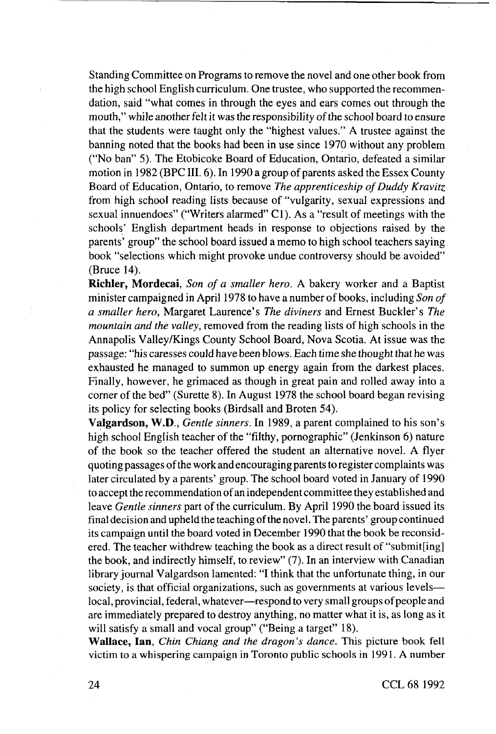Standing Committee on Programs to remove the novel and one other book from the high school English curriculum. One trustee, who supported the recommendation, said "what comes in through the eyes and ears comes out through the mouth," while another felt it was the responsibility of the school board to ensure that the students were taught only the "highest values." A trustee against the banning noted that the books had been in use since 1970 without any problem ("No ban" 5). The Etobicoke Board of Education, Ontario, defeated a similar motion in 1982 (BPC III. 6). In 1990 a group of parents asked the Essex County Board of Education, Ontario, to remove *The apprenticeship of Duddy Kravitz* from high school reading lists because of "vulgarity, sexual expressions and sexual innuendoes" ("Writers alarmed" Cl). As a "result of meetings with the schools' English department heads in response to objections raised by the parents' group" the school board issued a memo to high school teachers saying book "selections which might provoke undue controversy should be avoided" (Bruce 14).

**Richler, Mordecai,** *Son of a smaller hero.* A bakery worker and a Baptist minister campaigned in April 1978 to have a number of books, including *Son of a smaller hero,* Margaret Laurence's *The diviners* and Ernest Buckler's *The mountain and the valley,* removed from the reading lists of high schools in the Annapolis Valley/Kings County School Board, Nova Scotia. At issue was the passage: "his caresses could have been blows. Each time she thought that he was exhausted he managed to summon up energy again from the darkest places. Finally, however, he grimaced as though in great pain and rolled away into a corner of the bed" (Surette 8). In August 1978 the school board began revising its policy for selecting books (Birdsall and Broten 54).

**Valgardson, W.D.,** *Gentle sinners.* In 1989, a parent complained to his son's high school English teacher of the "filthy, pornographic" (Jenkinson 6) nature of the book so the teacher offered the student an alternative novel. A flyer quoting passages of the work and encouraging parents to register complaints was later circulated by a parents' group. The school board voted in January of 1990 to accept the recommendation of an independent committee they established and leave *Gentle sinners* part of the curriculum. By April 1990 the board issued its final decision and upheld the teaching of the novel. The parents' group continued its campaign until the board voted in December 1990 that the book be reconsidered. The teacher withdrew teaching the book as a direct result of "submit[ing] the book, and indirectly himself, to review" (7). In an interview with Canadian library journal Valgardson lamented: "I think that the unfortunate thing, in our society, is that official organizations, such as governments at various levels local, provincial, federal, whatever—respond to very small groups of people and are immediately prepared to destroy anything, no matter what it is, as long as it will satisfy a small and vocal group" ("Being a target" 18).

**Wallace, lan.** *Chin Chiang and the dragon's dance.* This picture book fell victim to a whispering campaign in Toronto public schools in 1991. A number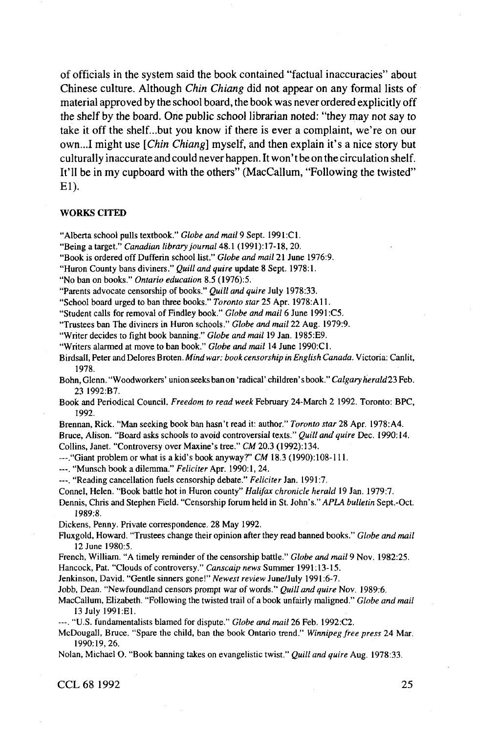of officials in the system said the book contained "factual inaccuracies" about Chinese culture. Although *Chin Chiang* did not appear on any formal lists of material approved by the school board, the book was never ordered explicitly off the shelf by the board. One public school librarian noted: "they may not say to take it off the shelf...but you know if there is ever a complaint, we're on our own...! might use *[Chin Chiang]* myself, and then explain it's a nice story but culturally inaccurate and could never happen. It won't be on the circulation shelf. It'll be in my cupboard with the others" (MacCallum, "Following the twisted" El).

## **WORKS CITED**

"Alberta school pulls textbook." Globe and mail 9 Sept. 1991:C1.

"Being a target." Canadian library journal 48.1 (1991):17-18, 20.

"Book is ordered off Dufferin school list." Globe and mail 21 June 1976:9.

"Huron County bans diviners." Quill and quire update 8 Sept. 1978:1.

"No ban on books." Ontario education 8.5 (1976):5.

"Parents advocate censorship of books." *Quill and quire* July 1978:33.

"School board urged to ban three books." Toronto star 25 Apr. 1978:A11.

"Student calls for removal of Findley book " *Globe and mail 6* June 1991 C5

"Trustees ban The diviners in Huron schools." Globe and mail 22 Aug. 1979:9.

"Writer decides to fight book banning." Globe and mail 19 Jan. 1985:E9.

"Writers alarmed at move to ban book." Globe and mail 14 June 1990:C1.

Birdsall, Peter and Delores Broten *Mind war book censorship in English Canada* Victoria Canlit, 1978

Bohn, Glenn. "Woodworkers' union seeks ban on 'radical' children's book." Calgary herald 23 Feb. 23 1992:B7.

Book and Periodical Council. Freedom to read week February 24-March 2 1992. Toronto: BPC, 1992

Brennan, Rick. "Man seeking book ban hasn't read it: author." Toronto star 28 Apr. 1978:A4. Bruce, Alison. "Board asks schools to avoid controversial texts." *Quill and quire* Dec. 1990:14. Collins, Janet. "Controversy over Maxine's tree." CM 20.3 (1992):134.

— "Giant problem or what is a kid's book anyway'7" *CM* 18 3 (1990) 108-111

— "Munsch book a dilemma " *Feliciter* Apr 1990 1, 24

---. "Reading cancellation fuels censorship debate." Feliciter Jan. 1991:7.

Connel, Helen. "Book battle hot in Huron county" Halifax chronicle herald 19 Jan. 1979:7.

Dennis, Chris and Stephen Field. "Censorship forum held in St. John's." *APLA bulletin* Sept.-Oct. 1989:8.

Dickens, Penny. Private correspondence. 28 May 1992.

Fluxgold, Howard "Trustees change their opinion after they read banned books." *Globe and mail* 12 June 1980:5.

French, William. "A timely reminder of the censorship battle." Globe and mail 9 Nov. 1982:25.

Hancock, Pat. "Clouds of controversy." Canscaip news Summer 1991:13-15.

Jenkinson, David. "Gentle sinners gone!" Newest review June/July 1991:6-7.

Jobb, Dean "Newfoundland censors prompt war of words " *Quill and quire* Nov 1989 6

MacCallum, Elizabeth "Following the twisted trail of a book unfairly maligned " *Globe and mail* 13 July 1991 El

--- "U.S. fundamentalists blamed for dispute." Globe and mail 26 Feb. 1992:C2.

McDougall, Bruce. "Spare the child, ban the book Ontario trend." Winnipeg free press 24 Mar. 1990:19, 26.

Nolan, Michael O. "Book banning takes on evangelistic twist." *Quill and quire* Aug. 1978:33.

**CCL 68 1992** 25